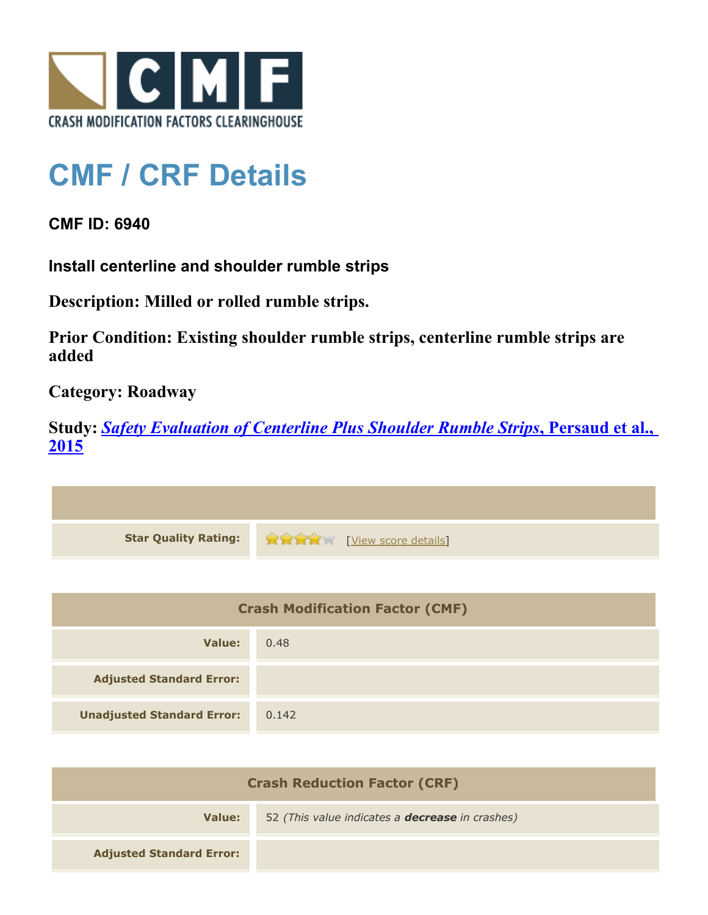

## **CMF / CRF Details**

## **CMF ID: 6940**

**Install centerline and shoulder rumble strips**

**Description: Milled or rolled rumble strips.**

**Prior Condition: Existing shoulder rumble strips, centerline rumble strips are added**

**Category: Roadway**

**Study:** *[Safety Evaluation of Centerline Plus Shoulder Rumble Strips](http://www.cmfclearinghouse.org/study_detail.cfm?stid=411)***[, Persaud et al.,](http://www.cmfclearinghouse.org/study_detail.cfm?stid=411) [2015](http://www.cmfclearinghouse.org/study_detail.cfm?stid=411)**

| Star Quality Rating: 1999 (View score details) |
|------------------------------------------------|

| <b>Crash Modification Factor (CMF)</b> |       |
|----------------------------------------|-------|
| Value:                                 | 0.48  |
| <b>Adjusted Standard Error:</b>        |       |
| <b>Unadjusted Standard Error:</b>      | 0.142 |

| <b>Crash Reduction Factor (CRF)</b> |                                                        |
|-------------------------------------|--------------------------------------------------------|
| Value:                              | 52 (This value indicates a <b>decrease</b> in crashes) |
| <b>Adjusted Standard Error:</b>     |                                                        |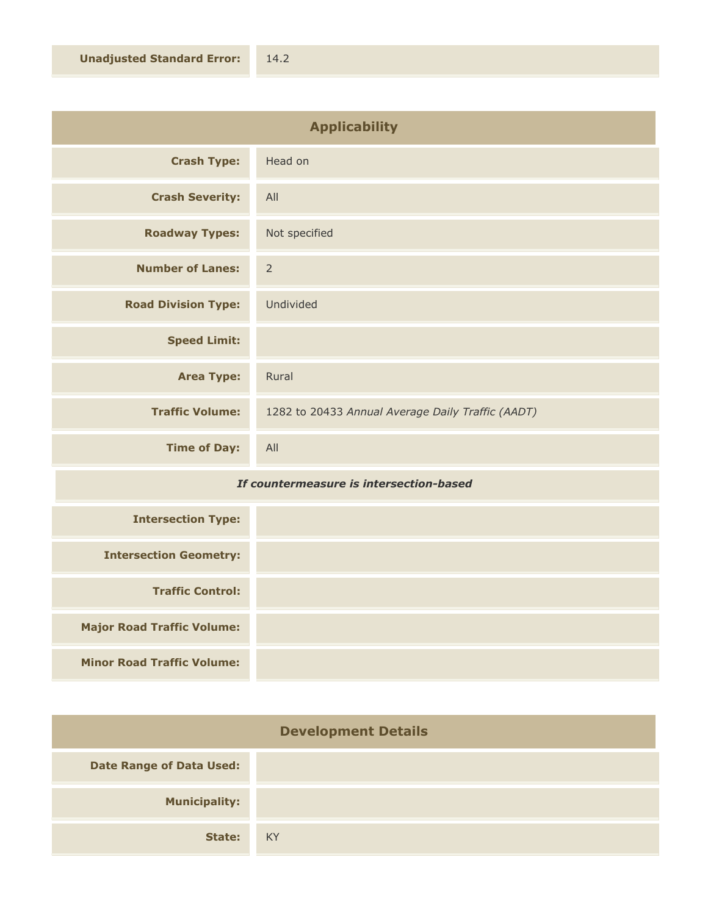| <b>Applicability</b>       |                                                   |
|----------------------------|---------------------------------------------------|
| <b>Crash Type:</b>         | Head on                                           |
| <b>Crash Severity:</b>     | All                                               |
| <b>Roadway Types:</b>      | Not specified                                     |
| <b>Number of Lanes:</b>    | $\overline{2}$                                    |
| <b>Road Division Type:</b> | Undivided                                         |
| <b>Speed Limit:</b>        |                                                   |
| <b>Area Type:</b>          | Rural                                             |
| <b>Traffic Volume:</b>     | 1282 to 20433 Annual Average Daily Traffic (AADT) |
| <b>Time of Day:</b>        | All                                               |

## *If countermeasure is intersection-based*

| <b>Intersection Type:</b>         |  |
|-----------------------------------|--|
| <b>Intersection Geometry:</b>     |  |
| <b>Traffic Control:</b>           |  |
| <b>Major Road Traffic Volume:</b> |  |
| <b>Minor Road Traffic Volume:</b> |  |

| <b>Development Details</b>      |    |
|---------------------------------|----|
| <b>Date Range of Data Used:</b> |    |
| <b>Municipality:</b>            |    |
| State:                          | KY |